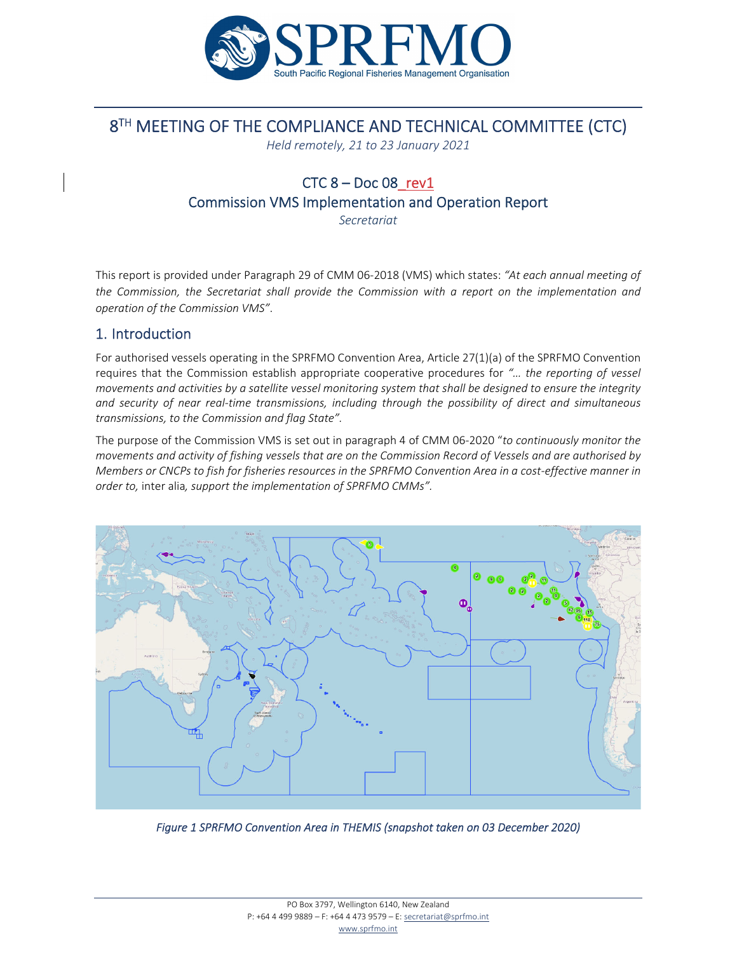

# 8<sup>TH</sup> MEETING OF THE COMPLIANCE AND TECHNICAL COMMITTEE (CTC)

*Held remotely, 21 to 23 January 2021*

# $CTC 8 - Doc 08$ rev1 Commission VMS Implementation and Operation Report

*Secretariat*

This report is provided under Paragraph 29 of CMM 06‐2018 (VMS) which states: *"At each annual meeting of the Commission, the Secretariat shall provide the Commission with a report on the implementation and operation of the Commission VMS"*.

## 1. Introduction

For authorised vessels operating in the SPRFMO Convention Area, Article 27(1)(a) of the SPRFMO Convention requires that the Commission establish appropriate cooperative procedures for *"… the reporting of vessel* movements and activities by a satellite vessel monitoring system that shall be designed to ensure the integrity *and security of near real‐time transmissions, including through the possibility of direct and simultaneous transmissions, to the Commission and flag State".*

The purpose of the Commission VMS is set out in paragraph 4 of CMM 06‐2020 "*to continuously monitor the* movements and activity of fishing vessels that are on the Commission Record of Vessels and are authorised by Members or CNCPs to fish for fisheries resources in the SPRFMO Convention Area in a cost-effective manner in *order to,* inter alia*, support the implementation of SPRFMO CMMs".*



Figure 1 SPRFMO Convention Area in THEMIS (snapshot taken on 03 December 2020)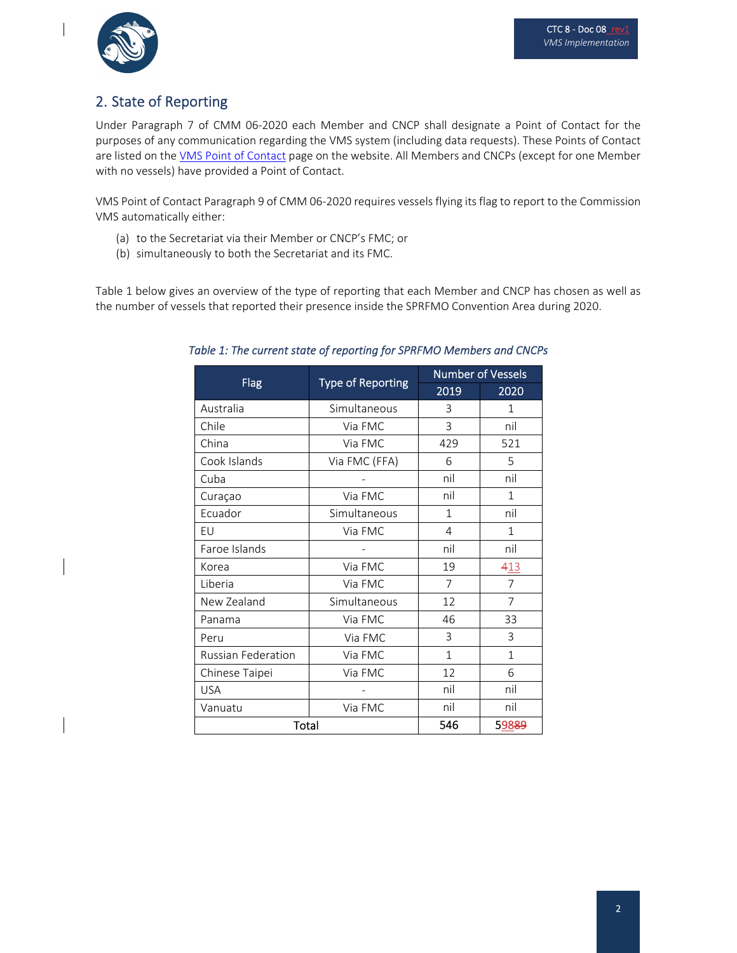

# 2. State of Reporting

Under Paragraph 7 of CMM 06‐2020 each Member and CNCP shall designate a Point of Contact for the purposes of any communication regarding the VMS system (including data requests). These Points of Contact are listed on the VMS Point of Contact page on the website. All Members and CNCPs (except for one Member with no vessels) have provided a Point of Contact.

VMS Point of Contact Paragraph 9 of CMM 06‐2020 requires vessels flying its flag to report to the Commission VMS automatically either:

- (a) to the Secretariat via their Member or CNCP's FMC; or
- (b) simultaneously to both the Secretariat and its FMC.

Table 1 below gives an overview of the type of reporting that each Member and CNCP has chosen as well as the number of vessels that reported their presence inside the SPRFMO Convention Area during 2020.

| <b>Flag</b>               | <b>Type of Reporting</b> | <b>Number of Vessels</b> |                |
|---------------------------|--------------------------|--------------------------|----------------|
|                           |                          | 2019                     | 2020           |
| Australia                 | Simultaneous             | 3                        | 1              |
| Chile                     | Via FMC                  | 3                        | nil            |
| China                     | Via FMC                  | 429                      | 521            |
| Cook Islands              | Via FMC (FFA)            | 6                        | 5              |
| Cuba                      |                          | nil                      | nil            |
| Curaçao                   | Via FMC                  | nil                      | $\mathbf{1}$   |
| Ecuador                   | Simultaneous             | $\mathbf{1}$             | nil            |
| EU                        | Via FMC                  | 4                        | $\mathbf{1}$   |
| Faroe Islands             |                          | nil                      | nil            |
| Korea                     | Via FMC                  | 19                       | 413            |
| Liberia                   | Via FMC                  | $\overline{7}$           | $\overline{7}$ |
| New Zealand               | Simultaneous             | 12                       | $\overline{7}$ |
| Panama                    | Via FMC                  | 46                       | 33             |
| Peru                      | Via FMC                  | 3                        | 3              |
| <b>Russian Federation</b> | Via FMC                  | 1                        | 1              |
| Chinese Taipei            | Via FMC                  | 12                       | 6              |
| <b>USA</b>                |                          | nil                      | nil            |
| Vanuatu                   | Via FMC                  | nil                      | nil            |
| Total                     |                          | 546                      | 59889          |

### Table 1: The current state of reporting for SPRFMO Members and CNCPs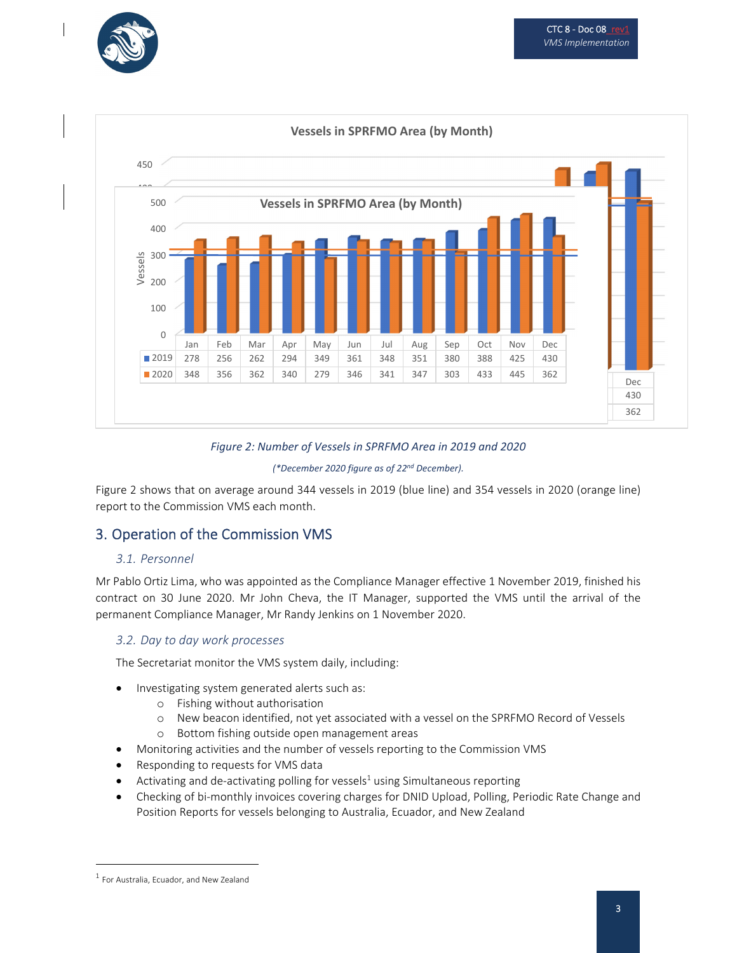



### *Figure 2: Number of Vessels in SPRFMO Area in 2019 and 2020*

#### *(\*December 2020 figure as of 22nd December).*

Figure 2 shows that on average around 344 vessels in 2019 (blue line) and 354 vessels in 2020 (orange line) report to the Commission VMS each month.

## 3. Operation of the Commission VMS

#### *3.1. Personnel*

Mr Pablo Ortiz Lima, who was appointed as the Compliance Manager effective 1 November 2019, finished his contract on 30 June 2020. Mr John Cheva, the IT Manager, supported the VMS until the arrival of the permanent Compliance Manager, Mr Randy Jenkins on 1 November 2020.

#### *3.2. Day to day work processes*

The Secretariat monitor the VMS system daily, including:

- Investigating system generated alerts such as:
	- o Fishing without authorisation
	- o New beacon identified, not yet associated with a vessel on the SPRFMO Record of Vessels
	- o Bottom fishing outside open management areas
	- Monitoring activities and the number of vessels reporting to the Commission VMS
- Responding to requests for VMS data
- Activating and de-activating polling for vessels $1$  using Simultaneous reporting
- Checking of bi‐monthly invoices covering charges for DNID Upload, Polling, Periodic Rate Change and Position Reports for vessels belonging to Australia, Ecuador, and New Zealand

<sup>1</sup> For Australia, Ecuador, and New Zealand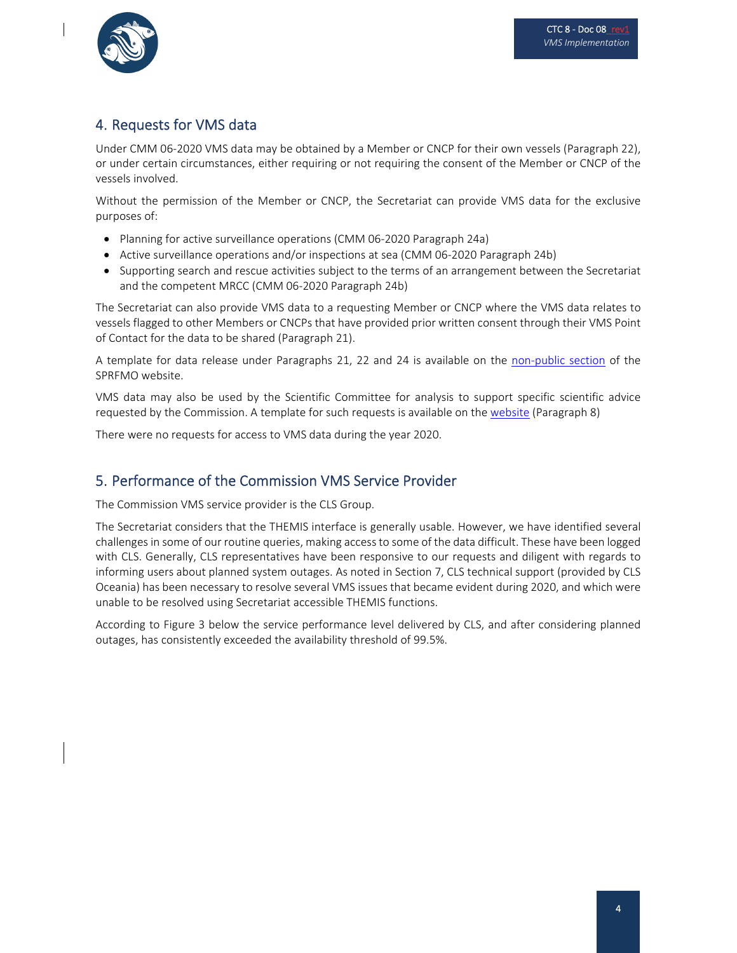

# 4. Requests for VMS data

Under CMM 06‐2020 VMS data may be obtained by a Member or CNCP for their own vessels (Paragraph 22), or under certain circumstances, either requiring or not requiring the consent of the Member or CNCP of the vessels involved.

Without the permission of the Member or CNCP, the Secretariat can provide VMS data for the exclusive purposes of:

- Planning for active surveillance operations (CMM 06-2020 Paragraph 24a)
- Active surveillance operations and/or inspections at sea (CMM 06-2020 Paragraph 24b)
- Supporting search and rescue activities subject to the terms of an arrangement between the Secretariat and the competent MRCC (CMM 06‐2020 Paragraph 24b)

The Secretariat can also provide VMS data to a requesting Member or CNCP where the VMS data relates to vessels flagged to other Members or CNCPs that have provided prior written consent through their VMS Point of Contact for the data to be shared (Paragraph 21).

A template for data release under Paragraphs 21, 22 and 24 is available on the non-public section of the SPRFMO website.

VMS data may also be used by the Scientific Committee for analysis to support specific scientific advice requested by the Commission. A template for such requests is available on the website (Paragraph 8)

There were no requests for access to VMS data during the year 2020.

## 5. Performance of the Commission VMS Service Provider

The Commission VMS service provider is the CLS Group.

The Secretariat considers that the THEMIS interface is generally usable. However, we have identified several challenges in some of our routine queries, making accessto some of the data difficult. These have been logged with CLS. Generally, CLS representatives have been responsive to our requests and diligent with regards to informing users about planned system outages. As noted in Section 7, CLS technical support (provided by CLS Oceania) has been necessary to resolve several VMS issues that became evident during 2020, and which were unable to be resolved using Secretariat accessible THEMIS functions.

According to Figure 3 below the service performance level delivered by CLS, and after considering planned outages, has consistently exceeded the availability threshold of 99.5%.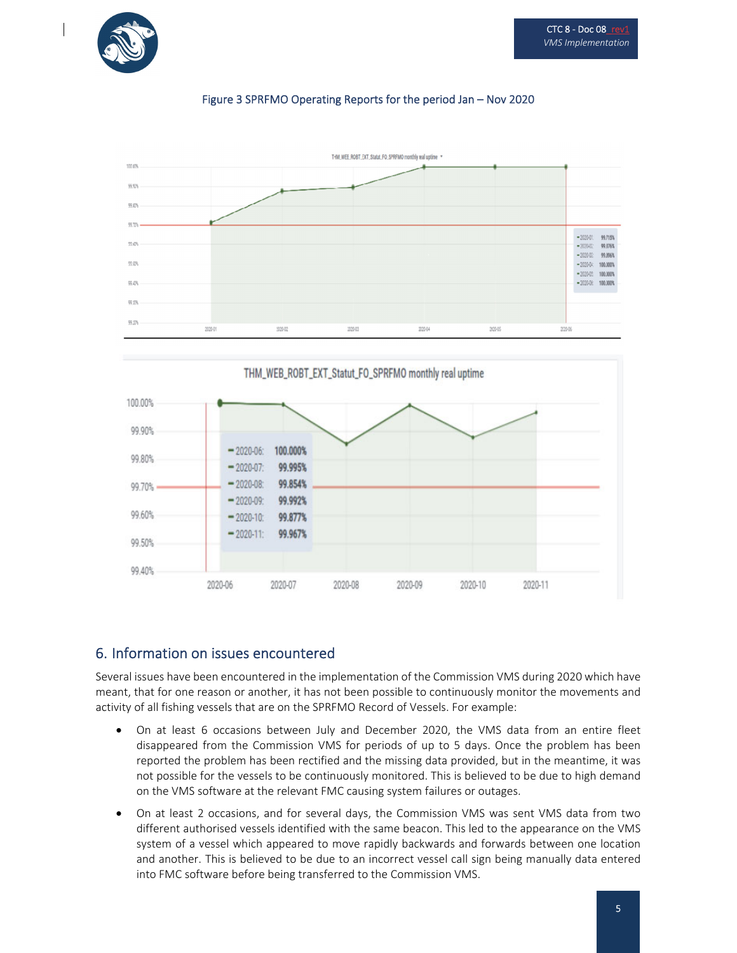

## Figure 3 SPRFMO Operating Reports for the period Jan – Nov 2020





## 6. Information on issues encountered

Several issues have been encountered in the implementation of the Commission VMS during 2020 which have meant, that for one reason or another, it has not been possible to continuously monitor the movements and activity of all fishing vessels that are on the SPRFMO Record of Vessels. For example:

- On at least 6 occasions between July and December 2020, the VMS data from an entire fleet disappeared from the Commission VMS for periods of up to 5 days. Once the problem has been reported the problem has been rectified and the missing data provided, but in the meantime, it was not possible for the vessels to be continuously monitored. This is believed to be due to high demand on the VMS software at the relevant FMC causing system failures or outages.
- On at least 2 occasions, and for several days, the Commission VMS was sent VMS data from two different authorised vessels identified with the same beacon. This led to the appearance on the VMS system of a vessel which appeared to move rapidly backwards and forwards between one location and another. This is believed to be due to an incorrect vessel call sign being manually data entered into FMC software before being transferred to the Commission VMS.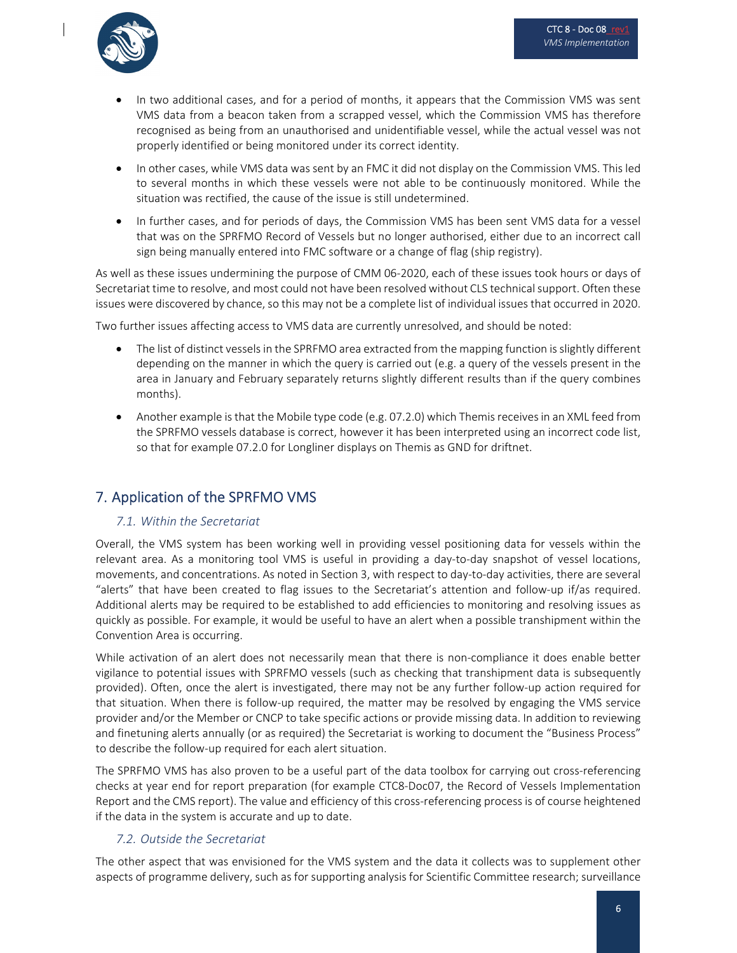

- In two additional cases, and for a period of months, it appears that the Commission VMS was sent VMS data from a beacon taken from a scrapped vessel, which the Commission VMS has therefore recognised as being from an unauthorised and unidentifiable vessel, while the actual vessel was not properly identified or being monitored under its correct identity.
- In other cases, while VMS data was sent by an FMC it did not display on the Commission VMS. This led to several months in which these vessels were not able to be continuously monitored. While the situation was rectified, the cause of the issue is still undetermined.
- In further cases, and for periods of days, the Commission VMS has been sent VMS data for a vessel that was on the SPRFMO Record of Vessels but no longer authorised, either due to an incorrect call sign being manually entered into FMC software or a change of flag (ship registry).

As well as these issues undermining the purpose of CMM 06‐2020, each of these issues took hours or days of Secretariat time to resolve, and most could not have been resolved without CLS technical support. Often these issues were discovered by chance, so this may not be a complete list of individual issues that occurred in 2020.

Two further issues affecting access to VMS data are currently unresolved, and should be noted:

- The list of distinct vesselsin the SPRFMO area extracted from the mapping function is slightly different depending on the manner in which the query is carried out (e.g. a query of the vessels present in the area in January and February separately returns slightly different results than if the query combines months).
- Another example isthat the Mobile type code (e.g. 07.2.0) which Themis receivesin an XML feed from the SPRFMO vessels database is correct, however it has been interpreted using an incorrect code list, so that for example 07.2.0 for Longliner displays on Themis as GND for driftnet.

# 7. Application of the SPRFMO VMS

## *7.1. Within the Secretariat*

Overall, the VMS system has been working well in providing vessel positioning data for vessels within the relevant area. As a monitoring tool VMS is useful in providing a day-to-day snapshot of vessel locations, movements, and concentrations. As noted in Section 3, with respect to day‐to‐day activities, there are several "alerts" that have been created to flag issues to the Secretariat's attention and follow‐up if/as required. Additional alerts may be required to be established to add efficiencies to monitoring and resolving issues as quickly as possible. For example, it would be useful to have an alert when a possible transhipment within the Convention Area is occurring.

While activation of an alert does not necessarily mean that there is non-compliance it does enable better vigilance to potential issues with SPRFMO vessels (such as checking that transhipment data is subsequently provided). Often, once the alert is investigated, there may not be any further follow‐up action required for that situation. When there is follow‐up required, the matter may be resolved by engaging the VMS service provider and/or the Member or CNCP to take specific actions or provide missing data. In addition to reviewing and finetuning alerts annually (or as required) the Secretariat is working to document the "Business Process" to describe the follow‐up required for each alert situation.

The SPRFMO VMS has also proven to be a useful part of the data toolbox for carrying out cross‐referencing checks at year end for report preparation (for example CTC8‐Doc07, the Record of Vessels Implementation Report and the CMS report). The value and efficiency of this cross-referencing process is of course heightened if the data in the system is accurate and up to date.

## *7.2. Outside the Secretariat*

The other aspect that was envisioned for the VMS system and the data it collects was to supplement other aspects of programme delivery, such as for supporting analysis for Scientific Committee research; surveillance